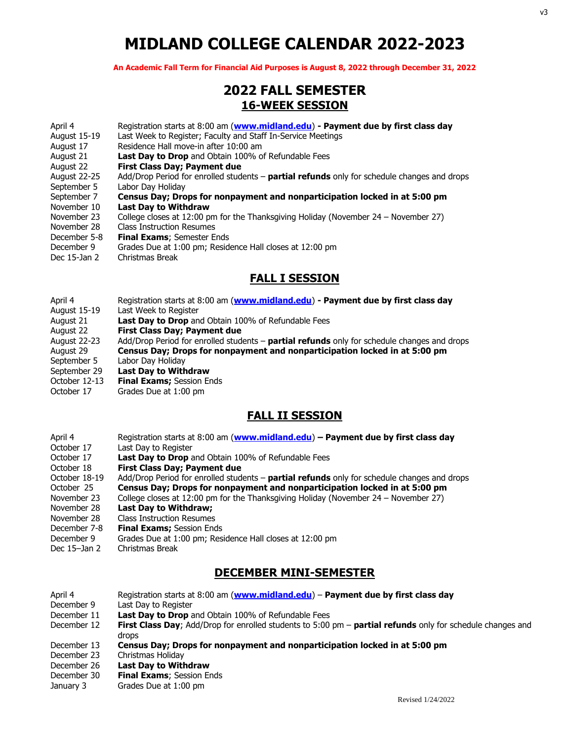# **MIDLAND COLLEGE CALENDAR 2022-2023**

**An Academic Fall Term for Financial Aid Purposes is August 8, 2022 through December 31, 2022**

## **2022 FALL SEMESTER 16-WEEK SESSION**

| April 4             | Registration starts at 8:00 am (www.midland.edu) - Payment due by first class day           |
|---------------------|---------------------------------------------------------------------------------------------|
| <b>August 15-19</b> | Last Week to Register; Faculty and Staff In-Service Meetings                                |
| August 17           | Residence Hall move-in after 10:00 am                                                       |
| August 21           | <b>Last Day to Drop</b> and Obtain 100% of Refundable Fees                                  |
| August 22           | First Class Day; Payment due                                                                |
| August 22-25        | Add/Drop Period for enrolled students - partial refunds only for schedule changes and drops |
| September 5         | Labor Day Holiday                                                                           |
| September 7         | Census Day; Drops for nonpayment and nonparticipation locked in at 5:00 pm                  |
| November 10         | <b>Last Day to Withdraw</b>                                                                 |
| November 23         | College closes at 12:00 pm for the Thanksgiving Holiday (November $24 -$ November 27)       |
| November 28         | <b>Class Instruction Resumes</b>                                                            |
| December 5-8        | <b>Final Exams</b> ; Semester Ends                                                          |
| December 9          | Grades Due at 1:00 pm; Residence Hall closes at 12:00 pm                                    |
| Dec 15-Jan 2        | Christmas Break                                                                             |
|                     |                                                                                             |

#### **FALL I SESSION**

- April 4 Registration starts at 8:00 am (**[www.midland.edu](http://www.midland.edu/)**) **- Payment due by first class day**
- August 15-19 Last Week to Register
- August 21 **Last Day to Drop** and Obtain 100% of Refundable Fees
- August 22 **First Class Day; Payment due**
- August 22-23 Add/Drop Period for enrolled students **partial refunds** only for schedule changes and drops August 29 **Census Day; Drops for nonpayment and nonparticipation locked in at 5:00 pm** September 5 Labor Day Holiday
- 
- September 29 **Last Day to Withdraw**
- October 12-13 **Final Exams;** Session Ends
- October 17 Grades Due at 1:00 pm

## **FALL II SESSION**

- April 4 Registration starts at 8:00 am (**[www.midland.edu](http://www.midland.edu/)**) **– Payment due by first class day**
- October 17 Last Day to Register
- October 17 **Last Day to Drop** and Obtain 100% of Refundable Fees
- October 18 **First Class Day; Payment due**<br>October 18-19 Add/Drop Period for enrolled stud
- Add/Drop Period for enrolled students **partial refunds** only for schedule changes and drops October 25 **Census Day; Drops for nonpayment and nonparticipation locked in at 5:00 pm**
- 
- November 23 College closes at 12:00 pm for the Thanksgiving Holiday (November 24 November 27)
- November 28 **Last Day to Withdraw;**
- November 28 Class Instruction Resumes<br>December 7-8 Final Exams; Session Enc
- **Final Exams; Session Ends**
- December 9 Grades Due at 1:00 pm; Residence Hall closes at 12:00 pm
- Dec 15–Jan 2 Christmas Break

# **DECEMBER MINI-SEMESTER**

| April 4     | Registration starts at 8:00 am (www.midland.edu) - Payment due by first class day                                                       |
|-------------|-----------------------------------------------------------------------------------------------------------------------------------------|
| December 9  | Last Day to Register                                                                                                                    |
| December 11 | <b>Last Day to Drop</b> and Obtain 100% of Refundable Fees                                                                              |
| December 12 | <b>First Class Day</b> ; Add/Drop for enrolled students to 5:00 $\mu$ m – <b>partial refunds</b> only for schedule changes and<br>drops |
| December 13 | Census Day; Drops for nonpayment and nonparticipation locked in at 5:00 pm                                                              |
| December 23 | Christmas Holiday                                                                                                                       |
| December 26 | Last Day to Withdraw                                                                                                                    |
| December 30 | <b>Final Exams; Session Ends</b>                                                                                                        |

January 3 Grades Due at 1:00 pm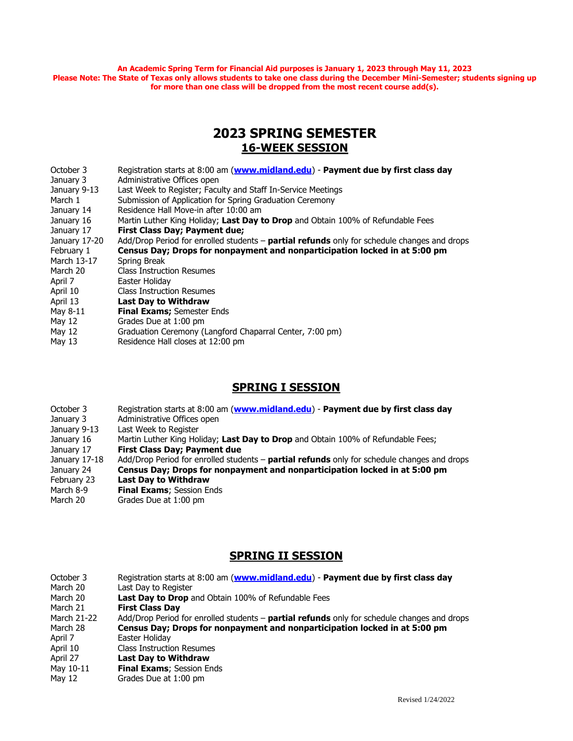**An Academic Spring Term for Financial Aid purposes is January 1, 2023 through May 11, 2023 Please Note: The State of Texas only allows students to take one class during the December Mini-Semester; students signing up for more than one class will be dropped from the most recent course add(s).**

# **2023 SPRING SEMESTER 16-WEEK SESSION**

| October 3     | Registration starts at 8:00 am (www.midland.edu) - Payment due by first class day             |
|---------------|-----------------------------------------------------------------------------------------------|
| January 3     | Administrative Offices open                                                                   |
| January 9-13  | Last Week to Register; Faculty and Staff In-Service Meetings                                  |
| March 1       | Submission of Application for Spring Graduation Ceremony                                      |
| January 14    | Residence Hall Move-in after 10:00 am                                                         |
| January 16    | Martin Luther King Holiday; Last Day to Drop and Obtain 100% of Refundable Fees               |
| January 17    | First Class Day; Payment due;                                                                 |
| January 17-20 | Add/Drop Period for enrolled students $-$ partial refunds only for schedule changes and drops |
| February 1    | Census Day; Drops for nonpayment and nonparticipation locked in at 5:00 pm                    |
| March 13-17   | Spring Break                                                                                  |
| March 20      | Class Instruction Resumes                                                                     |
| April 7       | Easter Holidav                                                                                |
| April 10      | <b>Class Instruction Resumes</b>                                                              |
| April 13      | <b>Last Day to Withdraw</b>                                                                   |
| May 8-11      | Final Exams; Semester Ends                                                                    |
| May 12        | Grades Due at 1:00 pm                                                                         |
| May 12        | Graduation Ceremony (Langford Chaparral Center, 7:00 pm)                                      |
| May 13        | Residence Hall closes at 12:00 pm                                                             |
|               |                                                                                               |

## **SPRING I SESSION**

- October 3 Registration starts at 8:00 am (**[www.midland.edu](http://www.midland.edu/)**) **Payment due by first class day**
- January 3 Administrative Offices open<br>January 9-13 Last Week to Register
- Last Week to Register
- January 16 Martin Luther King Holiday; Last Day to Drop and Obtain 100% of Refundable Fees;
- January 17 **First Class Day; Payment due**
- Add/Drop Period for enrolled students **partial refunds** only for schedule changes and drops
- January 24 **Census Day; Drops for nonpayment and nonparticipation locked in at 5:00 pm**
- February 23 **Last Day to Withdraw**<br>March 8-9 **Final Exams:** Session E
- March 8-9 **Final Exams**; Session Ends<br>March 20 **Grades** Due at 1:00 pm
- Grades Due at 1:00 pm

## **SPRING II SESSION**

| October 3   | Registration starts at 8:00 am (www.midland.edu) - Payment due by first class day                  |
|-------------|----------------------------------------------------------------------------------------------------|
| March 20    | Last Day to Register                                                                               |
| March 20    | <b>Last Day to Drop</b> and Obtain 100% of Refundable Fees                                         |
| March 21    | <b>First Class Day</b>                                                                             |
| March 21-22 | Add/Drop Period for enrolled students – <b>partial refunds</b> only for schedule changes and drops |
| March 28    | Census Day; Drops for nonpayment and nonparticipation locked in at 5:00 pm                         |
| April 7     | Easter Holiday                                                                                     |
| April 10    | <b>Class Instruction Resumes</b>                                                                   |
| April 27    | Last Day to Withdraw                                                                               |
| May 10-11   | <b>Final Exams; Session Ends</b>                                                                   |
| May 12      | Grades Due at 1:00 pm                                                                              |